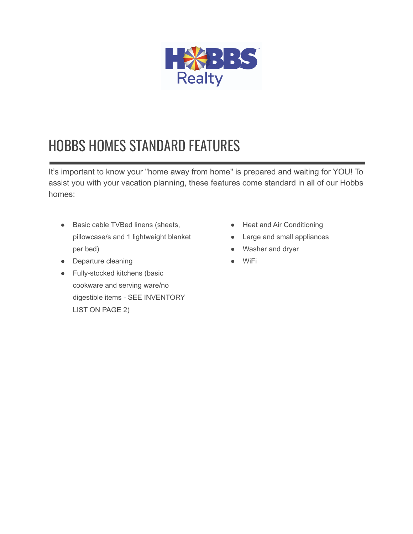

## HOBBS HOMES STANDARD FEATURES

It's important to know your "home away from home" is prepared and waiting for YOU! To assist you with your vacation planning, these features come standard in all of our Hobbs homes:

- Basic cable TVBed linens (sheets, pillowcase/s and 1 lightweight blanket per bed)
- Departure cleaning
- Fully-stocked kitchens (basic cookware and serving ware/no digestible items - SEE INVENTORY LIST ON PAGE 2)
- Heat and Air Conditioning
- Large and small appliances
- Washer and dryer
- **WiFi**